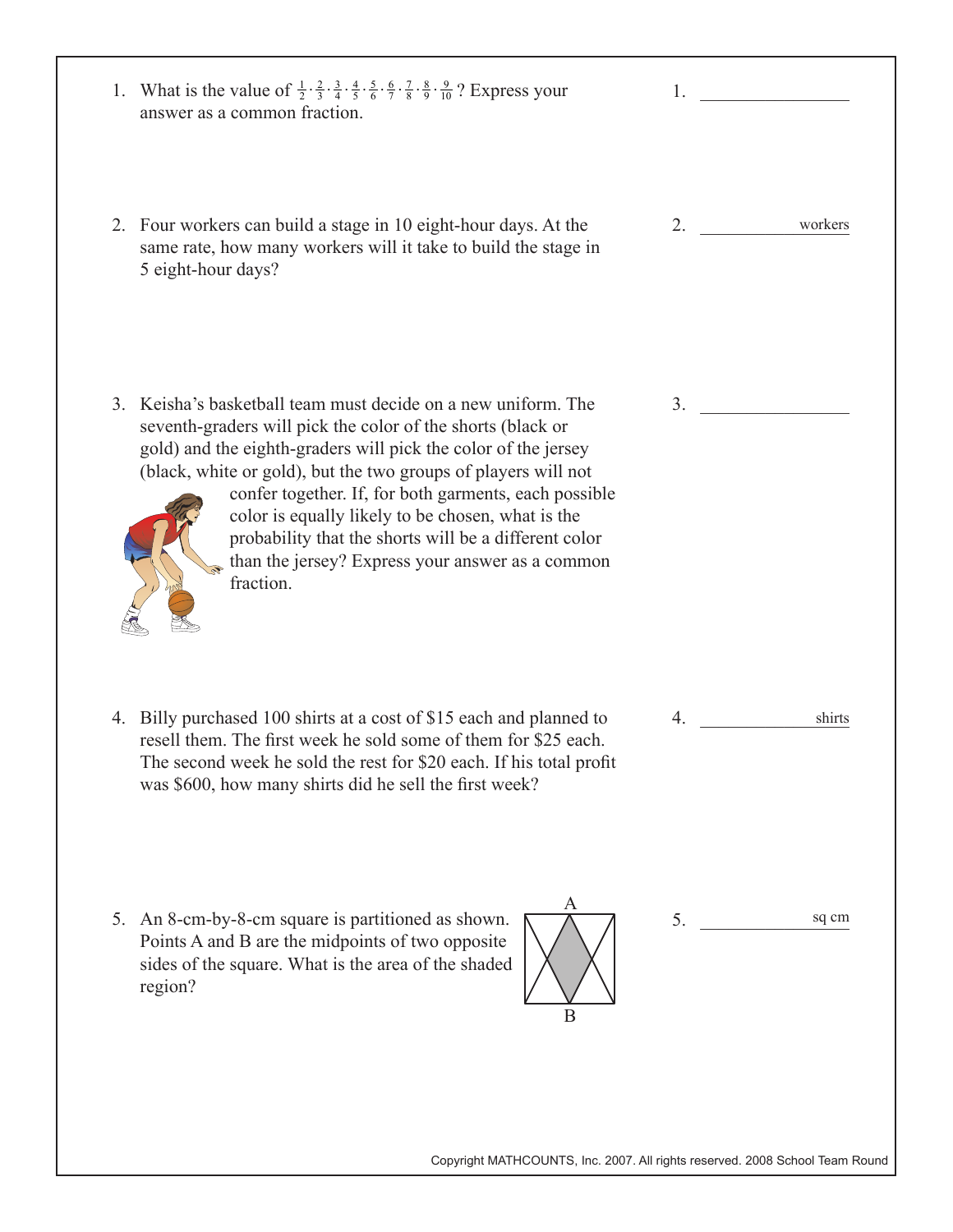| 1. What is the value of $\frac{1}{2} \cdot \frac{2}{3} \cdot \frac{3}{4} \cdot \frac{4}{5} \cdot \frac{5}{6} \cdot \frac{6}{7} \cdot \frac{7}{8} \cdot \frac{8}{9} \cdot \frac{9}{10}$ ? Express your<br>answer as a common fraction.                                                                                                                                                                                                                                                                                     | 1.                                                                           |
|---------------------------------------------------------------------------------------------------------------------------------------------------------------------------------------------------------------------------------------------------------------------------------------------------------------------------------------------------------------------------------------------------------------------------------------------------------------------------------------------------------------------------|------------------------------------------------------------------------------|
| 2. Four workers can build a stage in 10 eight-hour days. At the<br>same rate, how many workers will it take to build the stage in<br>5 eight-hour days?                                                                                                                                                                                                                                                                                                                                                                   | workers<br>2.                                                                |
| 3. Keisha's basketball team must decide on a new uniform. The<br>seventh-graders will pick the color of the shorts (black or<br>gold) and the eighth-graders will pick the color of the jersey<br>(black, white or gold), but the two groups of players will not<br>confer together. If, for both garments, each possible<br>color is equally likely to be chosen, what is the<br>probability that the shorts will be a different color<br>than the jersey? Express your answer as a common<br>$\mathscr{C}$<br>fraction. | 3.                                                                           |
| 4. Billy purchased 100 shirts at a cost of \$15 each and planned to<br>resell them. The first week he sold some of them for \$25 each.<br>The second week he sold the rest for \$20 each. If his total profit<br>was \$600, how many shirts did he sell the first week?                                                                                                                                                                                                                                                   | shirts<br>4.                                                                 |
| A<br>An 8-cm-by-8-cm square is partitioned as shown.<br>5.<br>Points A and B are the midpoints of two opposite<br>sides of the square. What is the area of the shaded<br>region?<br>B                                                                                                                                                                                                                                                                                                                                     | sq cm<br>5.                                                                  |
|                                                                                                                                                                                                                                                                                                                                                                                                                                                                                                                           | Copyright MATHCOUNTS, Inc. 2007. All rights reserved. 2008 School Team Round |